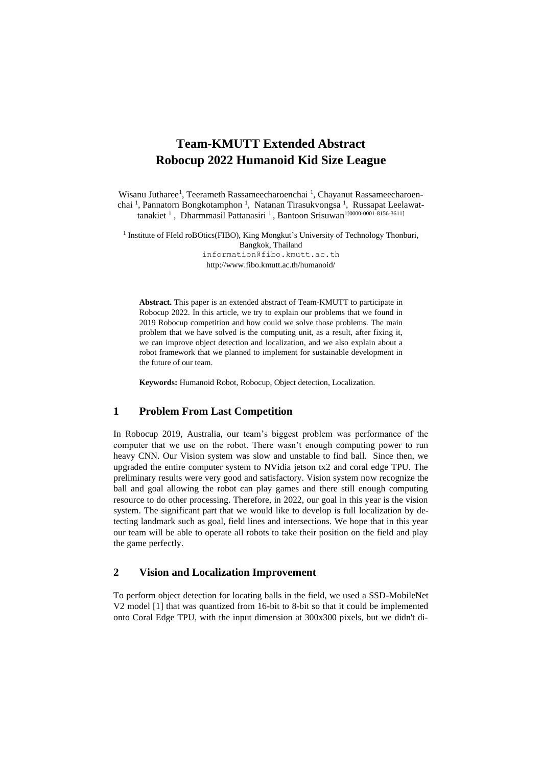# **Team-KMUTT Extended Abstract Robocup 2022 Humanoid Kid Size League**

Wisanu Jutharee<sup>1</sup>, Teerameth Rassameecharoenchai<sup>1</sup>, Chayanut Rassameecharoenchai<sup>1</sup>, Pannatorn Bongkotamphon<sup>1</sup>, Natanan Tirasukvongsa<sup>1</sup>, Russapat Leelawattanakiet<sup>1</sup>, Dharmmasil Pattanasiri<sup>1</sup>, Bantoon Srisuwan<sup>1[0000-0001-8156-3611]</sup>

<sup>1</sup> Institute of FIeld roBOtics(FIBO), King Mongkut's University of Technology Thonburi, Bangkok, Thailand [information@fibo.kmutt.ac.th](mailto:information@fibo.kmutt.ac.th) http://www.fibo.kmutt.ac.th/humanoid/

**Abstract.** This paper is an extended abstract of Team-KMUTT to participate in Robocup 2022. In this article, we try to explain our problems that we found in 2019 Robocup competition and how could we solve those problems. The main problem that we have solved is the computing unit, as a result, after fixing it, we can improve object detection and localization, and we also explain about a robot framework that we planned to implement for sustainable development in the future of our team.

**Keywords:** Humanoid Robot, Robocup, Object detection, Localization.

### **1 Problem From Last Competition**

In Robocup 2019, Australia, our team's biggest problem was performance of the computer that we use on the robot. There wasn't enough computing power to run heavy CNN. Our Vision system was slow and unstable to find ball. Since then, we upgraded the entire computer system to NVidia jetson tx2 and coral edge TPU. The preliminary results were very good and satisfactory. Vision system now recognize the ball and goal allowing the robot can play games and there still enough computing resource to do other processing. Therefore, in 2022, our goal in this year is the vision system. The significant part that we would like to develop is full localization by detecting landmark such as goal, field lines and intersections. We hope that in this year our team will be able to operate all robots to take their position on the field and play the game perfectly.

## **2 Vision and Localization Improvement**

To perform object detection for locating balls in the field, we used a SSD-MobileNet V2 model [1] that was quantized from 16-bit to 8-bit so that it could be implemented onto Coral Edge TPU, with the input dimension at 300x300 pixels, but we didn't di